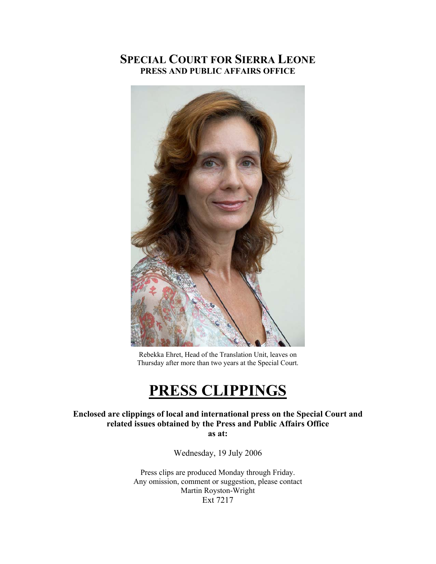# **SPECIAL COURT FOR SIERRA LEONE PRESS AND PUBLIC AFFAIRS OFFICE**



Rebekka Ehret, Head of the Translation Unit, leaves on Thursday after more than two years at the Special Court.

# **PRESS CLIPPINGS**

### **Enclosed are clippings of local and international press on the Special Court and related issues obtained by the Press and Public Affairs Office as at:**

Wednesday, 19 July 2006

Press clips are produced Monday through Friday. Any omission, comment or suggestion, please contact Martin Royston-Wright Ext 7217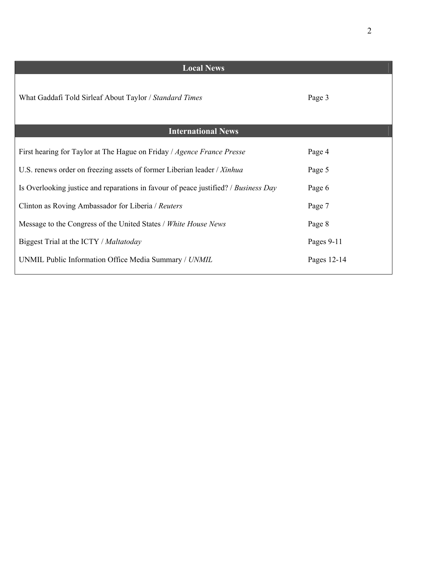| <b>Local News</b>                                                                   |             |
|-------------------------------------------------------------------------------------|-------------|
| What Gaddafi Told Sirleaf About Taylor / Standard Times                             | Page 3      |
| <b>International News</b>                                                           |             |
| First hearing for Taylor at The Hague on Friday / Agence France Presse              | Page 4      |
| U.S. renews order on freezing assets of former Liberian leader / Xinhua             | Page 5      |
| Is Overlooking justice and reparations in favour of peace justified? / Business Day | Page 6      |
| Clinton as Roving Ambassador for Liberia / Reuters                                  | Page 7      |
| Message to the Congress of the United States / White House News                     | Page 8      |
| Biggest Trial at the ICTY / Maltatoday                                              | Pages 9-11  |
| UNMIL Public Information Office Media Summary / UNMIL                               | Pages 12-14 |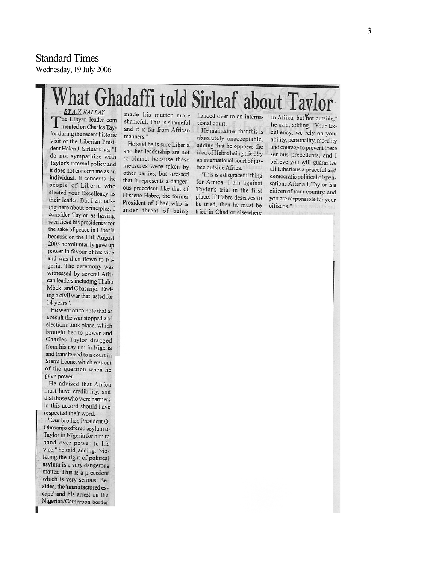# Standard Times Wednesday, 1 9 July 2006

# at Ghadaffi told Sirleaf about Taylor BY A.Y. KALLAY

The Libyan leader com mented on Charles Taylor during the recent historic visit of the Liberian President Helen J. Sirleaf thus: "I do not sympathize with Taylor's internal policy and it does not concern me as an individual. It concerns the people of Liberia who elected your Excellency as their leader. But I am talking here about principles. I consider Taylor as having sacrificed his presidency for the sake of peace in Liberia because on the 11th August 2003 he voluntarily gave up power in favour of his vice and was then flown to Nigeria. The ceremony was witnessed by several African leaders including Thabo Mbeki and Obasanjo. Ending a civil war that lasted for 14 years".

He went on to note that as a result the war stopped and elections took place, which brought her to power and Charles Taylor dragged from his asylum in Nigeria and transferred to a court in Sierra Leone, which was out of the question when he gave power.

He advised that Africa must have credibility, and that those who were partners in this accord should have respected their word.

"Our brother, President O. Obasanjo offered asylum to Taylor in Nigeria for him to hand over power to his vice," he said, adding, "violating the right of political asylum is a very dangerous matter. This is a precedent which is very serious. Besides, the 'manufactured escape' and his arrest on the Nigerian/Cameroon border

made his matter more shameful. This is shameful and it is far from African manners."

He said he is sure Liberia and her leadership are not to blame, because these measures were taken by other parties, but stressed that it represents a dangerous precedent like that of Hissene Habre, the former President of Chad who is

handed over to an international court.

He maintained that this is absolutely unacceptable. adding that he opposes the idea of Habre being tried by an international court of justice outside Africa.

"This is a disgraceful thing for Africa. I am against Taylor's trial in the first place. If Habre deserves to be tried, then he must be under threat of being tried in Chad or elsewhere

in Africa, but not outside." he said, adding, "Your Excellency, we rely on your ability, personality, morality and courage to prevent these serious precedents, and I believe you will guarantee all Liberians a peaceful and democratic political dispensation. After all, Taylor is a citizen of your country, and you are responsible for your citizens."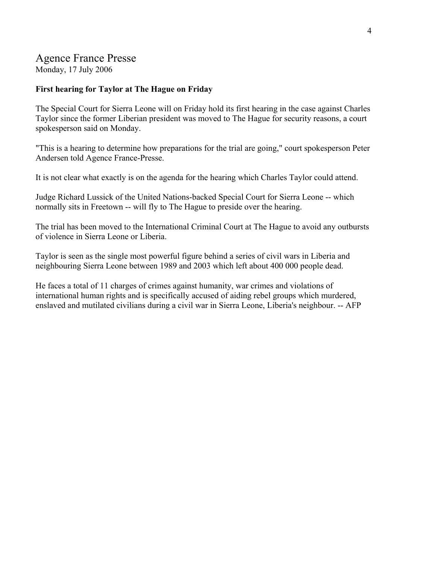# Agence France Presse

Monday, 17 July 2006

## **First hearing for Taylor at The Hague on Friday**

The Special Court for Sierra Leone will on Friday hold its first hearing in the case against Charles Taylor since the former Liberian president was moved to The Hague for security reasons, a court spokesperson said on Monday.

"This is a hearing to determine how preparations for the trial are going," court spokesperson Peter Andersen told Agence France-Presse.

It is not clear what exactly is on the agenda for the hearing which Charles Taylor could attend.

Judge Richard Lussick of the United Nations-backed Special Court for Sierra Leone -- which normally sits in Freetown -- will fly to The Hague to preside over the hearing.

The trial has been moved to the International Criminal Court at The Hague to avoid any outbursts of violence in Sierra Leone or Liberia.

Taylor is seen as the single most powerful figure behind a series of civil wars in Liberia and neighbouring Sierra Leone between 1989 and 2003 which left about 400 000 people dead.

He faces a total of 11 charges of crimes against humanity, war crimes and violations of international human rights and is specifically accused of aiding rebel groups which murdered, enslaved and mutilated civilians during a civil war in Sierra Leone, Liberia's neighbour. -- AFP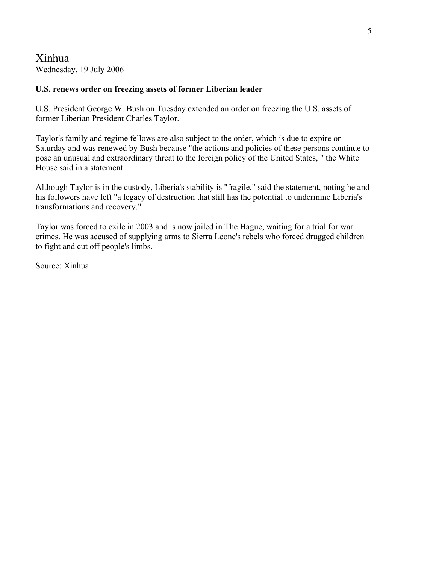Xinhua Wednesday, 19 July 2006

### **U.S. renews order on freezing assets of former Liberian leader**

U.S. President George W. Bush on Tuesday extended an order on freezing the U.S. assets of former Liberian President Charles Taylor.

Taylor's family and regime fellows are also subject to the order, which is due to expire on Saturday and was renewed by Bush because "the actions and policies of these persons continue to pose an unusual and extraordinary threat to the foreign policy of the United States, " the White House said in a statement.

Although Taylor is in the custody, Liberia's stability is "fragile," said the statement, noting he and his followers have left "a legacy of destruction that still has the potential to undermine Liberia's transformations and recovery."

Taylor was forced to exile in 2003 and is now jailed in The Hague, waiting for a trial for war crimes. He was accused of supplying arms to Sierra Leone's rebels who forced drugged children to fight and cut off people's limbs.

Source: Xinhua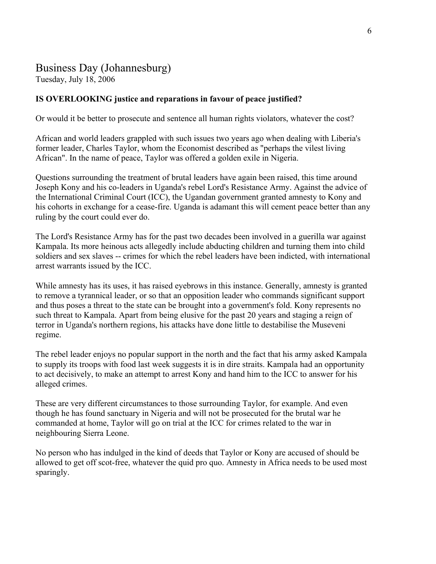# Business Day (Johannesburg)

Tuesday, July 18, 2006

# **IS OVERLOOKING justice and reparations in favour of peace justified?**

Or would it be better to prosecute and sentence all human rights violators, whatever the cost?

African and world leaders grappled with such issues two years ago when dealing with Liberia's former leader, Charles Taylor, whom the Economist described as "perhaps the vilest living African". In the name of peace, Taylor was offered a golden exile in Nigeria.

Questions surrounding the treatment of brutal leaders have again been raised, this time around Joseph Kony and his co-leaders in Uganda's rebel Lord's Resistance Army. Against the advice of the International Criminal Court (ICC), the Ugandan government granted amnesty to Kony and his cohorts in exchange for a cease-fire. Uganda is adamant this will cement peace better than any ruling by the court could ever do.

The Lord's Resistance Army has for the past two decades been involved in a guerilla war against Kampala. Its more heinous acts allegedly include abducting children and turning them into child soldiers and sex slaves -- crimes for which the rebel leaders have been indicted, with international arrest warrants issued by the ICC.

While amnesty has its uses, it has raised eyebrows in this instance. Generally, amnesty is granted to remove a tyrannical leader, or so that an opposition leader who commands significant support and thus poses a threat to the state can be brought into a government's fold. Kony represents no such threat to Kampala. Apart from being elusive for the past 20 years and staging a reign of terror in Uganda's northern regions, his attacks have done little to destabilise the Museveni regime.

The rebel leader enjoys no popular support in the north and the fact that his army asked Kampala to supply its troops with food last week suggests it is in dire straits. Kampala had an opportunity to act decisively, to make an attempt to arrest Kony and hand him to the ICC to answer for his alleged crimes.

These are very different circumstances to those surrounding Taylor, for example. And even though he has found sanctuary in Nigeria and will not be prosecuted for the brutal war he commanded at home, Taylor will go on trial at the ICC for crimes related to the war in neighbouring Sierra Leone.

No person who has indulged in the kind of deeds that Taylor or Kony are accused of should be allowed to get off scot-free, whatever the quid pro quo. Amnesty in Africa needs to be used most sparingly.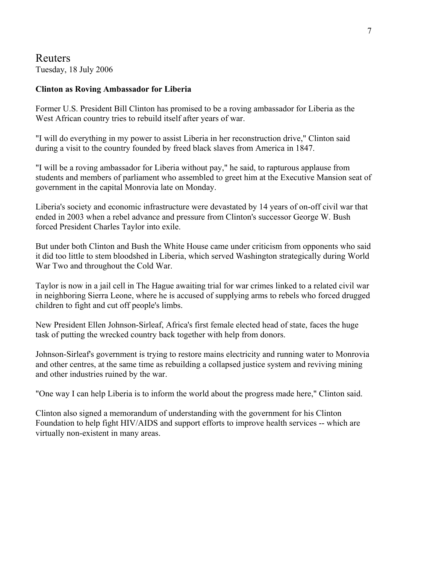Reuters Tuesday, 18 July 2006

### **Clinton as Roving Ambassador for Liberia**

Former U.S. President Bill Clinton has promised to be a roving ambassador for Liberia as the West African country tries to rebuild itself after years of war.

"I will do everything in my power to assist Liberia in her reconstruction drive," Clinton said during a visit to the country founded by freed black slaves from America in 1847.

"I will be a roving ambassador for Liberia without pay," he said, to rapturous applause from students and members of parliament who assembled to greet him at the Executive Mansion seat of government in the capital Monrovia late on Monday.

Liberia's society and economic infrastructure were devastated by 14 years of on-off civil war that ended in 2003 when a rebel advance and pressure from Clinton's successor George W. Bush forced President Charles Taylor into exile.

But under both Clinton and Bush the White House came under criticism from opponents who said it did too little to stem bloodshed in Liberia, which served Washington strategically during World War Two and throughout the Cold War.

Taylor is now in a jail cell in The Hague awaiting trial for war crimes linked to a related civil war in neighboring Sierra Leone, where he is accused of supplying arms to rebels who forced drugged children to fight and cut off people's limbs.

New President Ellen Johnson-Sirleaf, Africa's first female elected head of state, faces the huge task of putting the wrecked country back together with help from donors.

Johnson-Sirleaf's government is trying to restore mains electricity and running water to Monrovia and other centres, at the same time as rebuilding a collapsed justice system and reviving mining and other industries ruined by the war.

"One way I can help Liberia is to inform the world about the progress made here," Clinton said.

Clinton also signed a memorandum of understanding with the government for his Clinton Foundation to help fight HIV/AIDS and support efforts to improve health services -- which are virtually non-existent in many areas.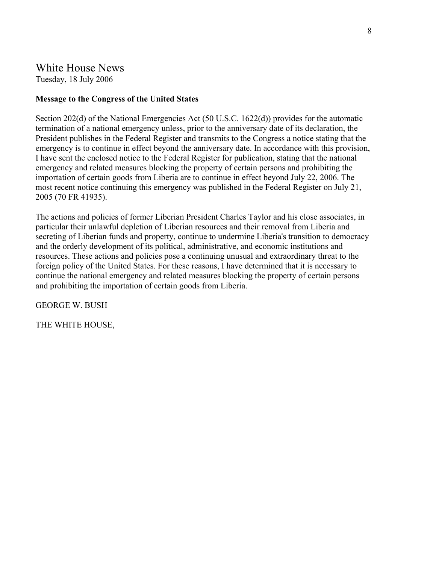# White House News Tuesday, 18 July 2006

### **Message to the Congress of the United States**

Section 202(d) of the National Emergencies Act (50 U.S.C. 1622(d)) provides for the automatic termination of a national emergency unless, prior to the anniversary date of its declaration, the President publishes in the Federal Register and transmits to the Congress a notice stating that the emergency is to continue in effect beyond the anniversary date. In accordance with this provision, I have sent the enclosed notice to the Federal Register for publication, stating that the national emergency and related measures blocking the property of certain persons and prohibiting the importation of certain goods from Liberia are to continue in effect beyond July 22, 2006. The most recent notice continuing this emergency was published in the Federal Register on July 21, 2005 (70 FR 41935).

The actions and policies of former Liberian President Charles Taylor and his close associates, in particular their unlawful depletion of Liberian resources and their removal from Liberia and secreting of Liberian funds and property, continue to undermine Liberia's transition to democracy and the orderly development of its political, administrative, and economic institutions and resources. These actions and policies pose a continuing unusual and extraordinary threat to the foreign policy of the United States. For these reasons, I have determined that it is necessary to continue the national emergency and related measures blocking the property of certain persons and prohibiting the importation of certain goods from Liberia.

GEORGE W. BUSH

THE WHITE HOUSE,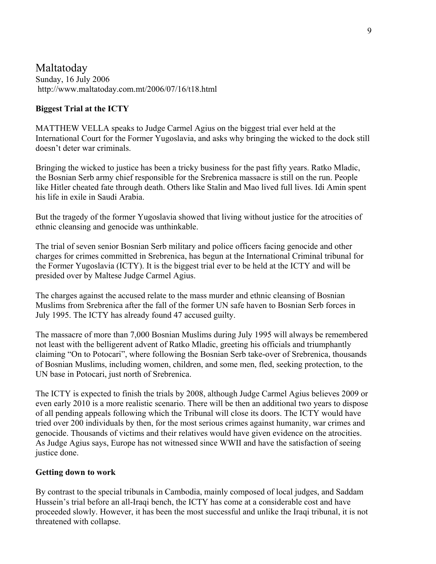# Maltatoday Sunday, 16 July 2006 <http://www.maltatoday.com.mt/2006/07/16/t18.html>

## **Biggest Trial at the ICTY**

MATTHEW VELLA speaks to Judge Carmel Agius on the biggest trial ever held at the International Court for the Former Yugoslavia, and asks why bringing the wicked to the dock still doesn't deter war criminals.

Bringing the wicked to justice has been a tricky business for the past fifty years. Ratko Mladic, the Bosnian Serb army chief responsible for the Srebrenica massacre is still on the run. People like Hitler cheated fate through death. Others like Stalin and Mao lived full lives. Idi Amin spent his life in exile in Saudi Arabia.

But the tragedy of the former Yugoslavia showed that living without justice for the atrocities of ethnic cleansing and genocide was unthinkable.

The trial of seven senior Bosnian Serb military and police officers facing genocide and other charges for crimes committed in Srebrenica, has begun at the International Criminal tribunal for the Former Yugoslavia (ICTY). It is the biggest trial ever to be held at the ICTY and will be presided over by Maltese Judge Carmel Agius.

The charges against the accused relate to the mass murder and ethnic cleansing of Bosnian Muslims from Srebrenica after the fall of the former UN safe haven to Bosnian Serb forces in July 1995. The ICTY has already found 47 accused guilty.

The massacre of more than 7,000 Bosnian Muslims during July 1995 will always be remembered not least with the belligerent advent of Ratko Mladic, greeting his officials and triumphantly claiming "On to Potocari", where following the Bosnian Serb take-over of Srebrenica, thousands of Bosnian Muslims, including women, children, and some men, fled, seeking protection, to the UN base in Potocari, just north of Srebrenica.

The ICTY is expected to finish the trials by 2008, although Judge Carmel Agius believes 2009 or even early 2010 is a more realistic scenario. There will be then an additional two years to dispose of all pending appeals following which the Tribunal will close its doors. The ICTY would have tried over 200 individuals by then, for the most serious crimes against humanity, war crimes and genocide. Thousands of victims and their relatives would have given evidence on the atrocities. As Judge Agius says, Europe has not witnessed since WWII and have the satisfaction of seeing justice done.

### **Getting down to work**

By contrast to the special tribunals in Cambodia, mainly composed of local judges, and Saddam Hussein's trial before an all-Iraqi bench, the ICTY has come at a considerable cost and have proceeded slowly. However, it has been the most successful and unlike the Iraqi tribunal, it is not threatened with collapse.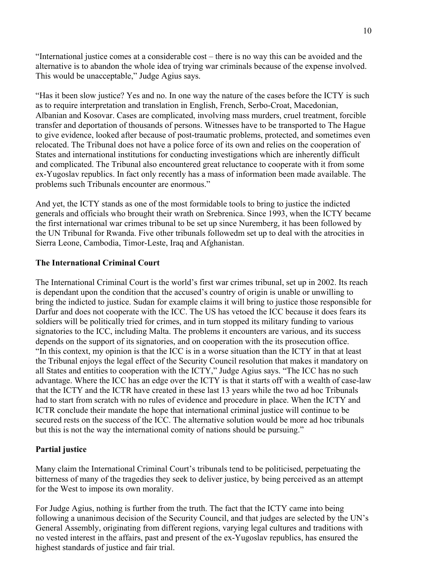"International justice comes at a considerable cost – there is no way this can be avoided and the alternative is to abandon the whole idea of trying war criminals because of the expense involved. This would be unacceptable," Judge Agius says.

"Has it been slow justice? Yes and no. In one way the nature of the cases before the ICTY is such as to require interpretation and translation in English, French, Serbo-Croat, Macedonian, Albanian and Kosovar. Cases are complicated, involving mass murders, cruel treatment, forcible transfer and deportation of thousands of persons. Witnesses have to be transported to The Hague to give evidence, looked after because of post-traumatic problems, protected, and sometimes even relocated. The Tribunal does not have a police force of its own and relies on the cooperation of States and international institutions for conducting investigations which are inherently difficult and complicated. The Tribunal also encountered great reluctance to cooperate with it from some ex-Yugoslav republics. In fact only recently has a mass of information been made available. The problems such Tribunals encounter are enormous."

And yet, the ICTY stands as one of the most formidable tools to bring to justice the indicted generals and officials who brought their wrath on Srebrenica. Since 1993, when the ICTY became the first international war crimes tribunal to be set up since Nuremberg, it has been followed by the UN Tribunal for Rwanda. Five other tribunals followedm set up to deal with the atrocities in Sierra Leone, Cambodia, Timor-Leste, Iraq and Afghanistan.

### **The International Criminal Court**

The International Criminal Court is the world's first war crimes tribunal, set up in 2002. Its reach is dependant upon the condition that the accused's country of origin is unable or unwilling to bring the indicted to justice. Sudan for example claims it will bring to justice those responsible for Darfur and does not cooperate with the ICC. The US has vetoed the ICC because it does fears its soldiers will be politically tried for crimes, and in turn stopped its military funding to various signatories to the ICC, including Malta. The problems it encounters are various, and its success depends on the support of its signatories, and on cooperation with the its prosecution office. "In this context, my opinion is that the ICC is in a worse situation than the ICTY in that at least the Tribunal enjoys the legal effect of the Security Council resolution that makes it mandatory on all States and entities to cooperation with the ICTY," Judge Agius says. "The ICC has no such advantage. Where the ICC has an edge over the ICTY is that it starts off with a wealth of case-law that the ICTY and the ICTR have created in these last 13 years while the two ad hoc Tribunals had to start from scratch with no rules of evidence and procedure in place. When the ICTY and ICTR conclude their mandate the hope that international criminal justice will continue to be secured rests on the success of the ICC. The alternative solution would be more ad hoc tribunals but this is not the way the international comity of nations should be pursuing."

### **Partial justice**

Many claim the International Criminal Court's tribunals tend to be politicised, perpetuating the bitterness of many of the tragedies they seek to deliver justice, by being perceived as an attempt for the West to impose its own morality.

For Judge Agius, nothing is further from the truth. The fact that the ICTY came into being following a unanimous decision of the Security Council, and that judges are selected by the UN's General Assembly, originating from different regions, varying legal cultures and traditions with no vested interest in the affairs, past and present of the ex-Yugoslav republics, has ensured the highest standards of justice and fair trial.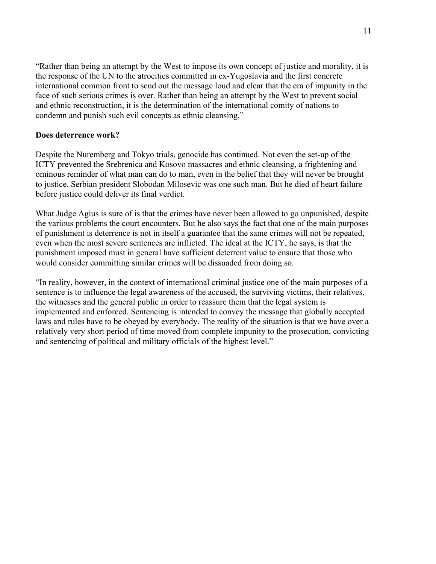"Rather than being an attempt by the West to impose its own concept of justice and morality, it is the response of the UN to the atrocities committed in ex-Yugoslavia and the first concrete international common front to send out the message loud and clear that the era of impunity in the face of such serious crimes is over. Rather than being an attempt by the West to prevent social and ethnic reconstruction, it is the determination of the international comity of nations to condemn and punish such evil concepts as ethnic cleansing."

### **Does deterrence work?**

Despite the Nuremberg and Tokyo trials, genocide has continued. Not even the set-up of the ICTY prevented the Srebrenica and Kosovo massacres and ethnic cleansing, a frightening and ominous reminder of what man can do to man, even in the belief that they will never be brought to justice. Serbian president Slobodan Milosevic was one such man. But he died of heart failure before justice could deliver its final verdict.

What Judge Agius is sure of is that the crimes have never been allowed to go unpunished, despite the various problems the court encounters. But he also says the fact that one of the main purposes of punishment is deterrence is not in itself a guarantee that the same crimes will not be repeated, even when the most severe sentences are inflicted. The ideal at the ICTY, he says, is that the punishment imposed must in general have sufficient deterrent value to ensure that those who would consider committing similar crimes will be dissuaded from doing so.

"In reality, however, in the context of international criminal justice one of the main purposes of a sentence is to influence the legal awareness of the accused, the surviving victims, their relatives, the witnesses and the general public in order to reassure them that the legal system is implemented and enforced. Sentencing is intended to convey the message that globally accepted laws and rules have to be obeyed by everybody. The reality of the situation is that we have over a relatively very short period of time moved from complete impunity to the prosecution, convicting and sentencing of political and military officials of the highest level."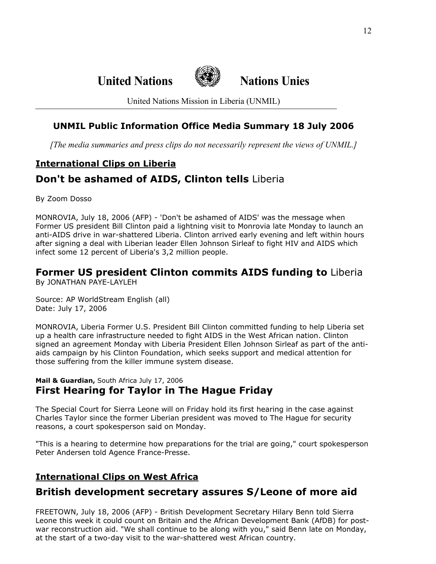**United Nations Nations Unies**



United Nations Mission in Liberia (UNMIL)

# **UNMIL Public Information Office Media Summary 18 July 2006**

*[The media summaries and press clips do not necessarily represent the views of UNMIL.]*

# **International Clips on Liberia Don't be ashamed of AIDS, Clinton tells** Liberia

By Zoom Dosso

MONROVIA, July 18, 2006 (AFP) - 'Don't be ashamed of AIDS' was the message when Former US president Bill Clinton paid a lightning visit to Monrovia late Monday to launch an anti-AIDS drive in war-shattered Liberia. Clinton arrived early evening and left within hours after signing a deal with Liberian leader Ellen Johnson Sirleaf to fight HIV and AIDS which infect some 12 percent of Liberia's 3,2 million people.

### **Former US president Clinton commits AIDS funding to** Liberia By JONATHAN PAYE-LAYLEH

Source: AP WorldStream English (all) Date: July 17, 2006

MONROVIA, Liberia Former U.S. President Bill Clinton committed funding to help Liberia set up a health care infrastructure needed to fight AIDS in the West African nation. Clinton signed an agreement Monday with Liberia President Ellen Johnson Sirleaf as part of the antiaids campaign by his Clinton Foundation, which seeks support and medical attention for those suffering from the killer immune system disease.

## **Mail & Guardian,** South Africa July 17, 2006 **First Hearing for Taylor in The Hague Friday**

The Special Court for Sierra Leone will on Friday hold its first hearing in the case against Charles Taylor since the former Liberian president was moved to The Hague for security reasons, a court spokesperson said on Monday.

"This is a hearing to determine how preparations for the trial are going," court spokesperson Peter Andersen told Agence France-Presse.

# **International Clips on West Africa**

# **British development secretary assures S/Leone of more aid**

FREETOWN, July 18, 2006 (AFP) - British Development Secretary Hilary Benn told Sierra Leone this week it could count on Britain and the African Development Bank (AfDB) for postwar reconstruction aid. "We shall continue to be along with you," said Benn late on Monday, at the start of a two-day visit to the war-shattered west African country.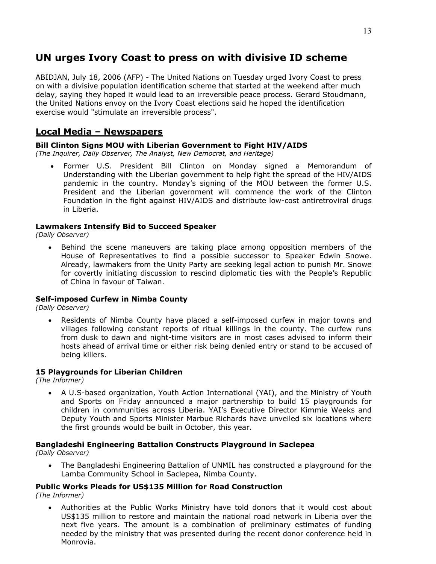# **UN urges Ivory Coast to press on with divisive ID scheme**

ABIDJAN, July 18, 2006 (AFP) - The United Nations on Tuesday urged Ivory Coast to press on with a divisive population identification scheme that started at the weekend after much delay, saying they hoped it would lead to an irreversible peace process. Gerard Stoudmann, the United Nations envoy on the Ivory Coast elections said he hoped the identification exercise would "stimulate an irreversible process".

## **Local Media – Newspapers**

### **Bill Clinton Signs MOU with Liberian Government to Fight HIV/AIDS**

*(The Inquirer, Daily Observer, The Analyst, New Democrat, and Heritage)* 

• Former U.S. President Bill Clinton on Monday signed a Memorandum of Understanding with the Liberian government to help fight the spread of the HIV/AIDS pandemic in the country. Monday's signing of the MOU between the former U.S. President and the Liberian government will commence the work of the Clinton Foundation in the fight against HIV/AIDS and distribute low-cost antiretroviral drugs in Liberia.

### **Lawmakers Intensify Bid to Succeed Speaker**

*(Daily Observer)* 

• Behind the scene maneuvers are taking place among opposition members of the House of Representatives to find a possible successor to Speaker Edwin Snowe. Already, lawmakers from the Unity Party are seeking legal action to punish Mr. Snowe for covertly initiating discussion to rescind diplomatic ties with the People's Republic of China in favour of Taiwan.

### **Self-imposed Curfew in Nimba County**

*(Daily Observer)* 

• Residents of Nimba County have placed a self-imposed curfew in major towns and villages following constant reports of ritual killings in the county. The curfew runs from dusk to dawn and night-time visitors are in most cases advised to inform their hosts ahead of arrival time or either risk being denied entry or stand to be accused of being killers.

### **15 Playgrounds for Liberian Children**

*(The Informer)*

• A U.S-based organization, Youth Action International (YAI), and the Ministry of Youth and Sports on Friday announced a major partnership to build 15 playgrounds for children in communities across Liberia. YAI's Executive Director Kimmie Weeks and Deputy Youth and Sports Minister Marbue Richards have unveiled six locations where the first grounds would be built in October, this year.

### **Bangladeshi Engineering Battalion Constructs Playground in Saclepea**

*(Daily Observer)* 

• The Bangladeshi Engineering Battalion of UNMIL has constructed a playground for the Lamba Community School in Saclepea, Nimba County.

#### **Public Works Pleads for US\$135 Million for Road Construction**  *(The Informer)*

• Authorities at the Public Works Ministry have told donors that it would cost about US\$135 million to restore and maintain the national road network in Liberia over the next five years. The amount is a combination of preliminary estimates of funding needed by the ministry that was presented during the recent donor conference held in Monrovia.